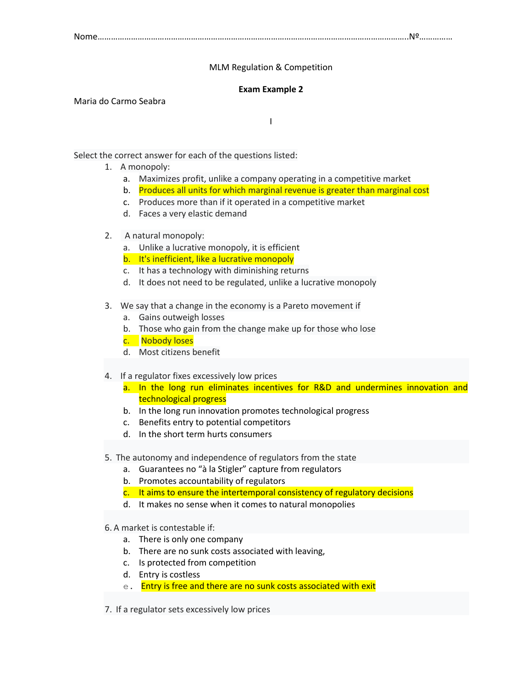Nome…………………………………………………………………………………………………………………………..Nº……………

## MLM Regulation & Competition

## **Exam Example 2**

Maria do Carmo Seabra

I

Select the correct answer for each of the questions listed:

- 1. A monopoly:
	- a. Maximizes profit, unlike a company operating in a competitive market
	- b. Produces all units for which marginal revenue is greater than marginal cost
	- c. Produces more than if it operated in a competitive market
	- d. Faces a very elastic demand

## 2. A natural monopoly:

- a. Unlike a lucrative monopoly, it is efficient
- b. It's inefficient, like a lucrative monopoly
- c. It has a technology with diminishing returns
- d. It does not need to be regulated, unlike a lucrative monopoly
- 3. We say that a change in the economy is a Pareto movement if
	- a. Gains outweigh losses
	- b. Those who gain from the change make up for those who lose
	- c. Nobody loses
	- d. Most citizens benefit
- 4. If a regulator fixes excessively low prices
	- a. In the long run eliminates incentives for R&D and undermines innovation and technological progress
	- b. In the long run innovation promotes technological progress
	- c. Benefits entry to potential competitors
	- d. In the short term hurts consumers
- 5. The autonomy and independence of regulators from the state
	- a. Guarantees no "à la Stigler" capture from regulators
		- b. Promotes accountability of regulators
		- c. It aims to ensure the intertemporal consistency of regulatory decisions
	- d. It makes no sense when it comes to natural monopolies

## 6. A market is contestable if:

- a. There is only one company
- b. There are no sunk costs associated with leaving,
- c. Is protected from competition
- d. Entry is costless
- e. Entry is free and there are no sunk costs associated with exit
- 7. If a regulator sets excessively low prices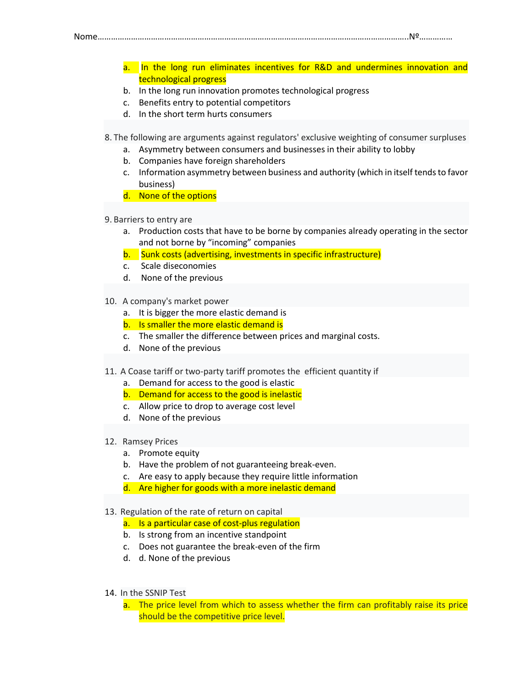Nome…………………………………………………………………………………………………………………………..Nº……………

- a. In the long run eliminates incentives for R&D and undermines innovation and technological progress
- b. In the long run innovation promotes technological progress
- c. Benefits entry to potential competitors
- d. In the short term hurts consumers

8. The following are arguments against regulators' exclusive weighting of consumer surpluses

- a. Asymmetry between consumers and businesses in their ability to lobby
- b. Companies have foreign shareholders
- c. Information asymmetry between business and authority (which in itself tends to favor business)
- d. None of the options
- 9. Barriers to entry are
	- a. Production costs that have to be borne by companies already operating in the sector and not borne by "incoming" companies
	- b. Sunk costs (advertising, investments in specific infrastructure)
	- c. Scale diseconomies
	- d. None of the previous
- 10. A company's market power
	- a. It is bigger the more elastic demand is
	- b. Is smaller the more elastic demand is
	- c. The smaller the difference between prices and marginal costs.
	- d. None of the previous
- 11. A Coase tariff or two-party tariff promotes the efficient quantity if
	- a. Demand for access to the good is elastic
	- b. Demand for access to the good is inelastic
	- c. Allow price to drop to average cost level
	- d. None of the previous
- 12. Ramsey Prices
	- a. Promote equity
	- b. Have the problem of not guaranteeing break-even.
	- c. Are easy to apply because they require little information
	- d. Are higher for goods with a more inelastic demand
- 13. Regulation of the rate of return on capital
	- a. Is a particular case of cost-plus regulation
	- b. Is strong from an incentive standpoint
	- c. Does not guarantee the break-even of the firm
	- d. d. None of the previous
- 14. In the SSNIP Test
	- a. The price level from which to assess whether the firm can profitably raise its price should be the competitive price level.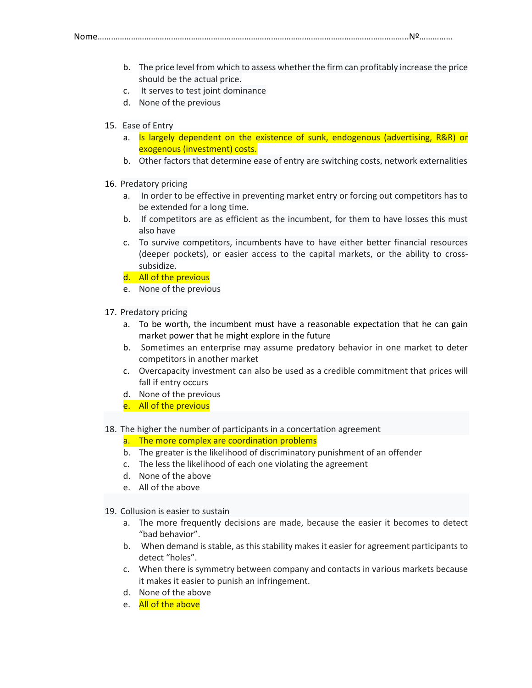Nome…………………………………………………………………………………………………………………………..Nº……………

b. The price level from which to assess whether the firm can profitably increase the price should be the actual price.

- c. It serves to test joint dominance
- d. None of the previous
- 15. Ease of Entry
	- a. Is largely dependent on the existence of sunk, endogenous (advertising, R&R) or exogenous (investment) costs.
	- b. Other factors that determine ease of entry are switching costs, network externalities
- 16. Predatory pricing
	- a. In order to be effective in preventing market entry or forcing out competitors has to be extended for a long time.
	- b. If competitors are as efficient as the incumbent, for them to have losses this must also have
	- c. To survive competitors, incumbents have to have either better financial resources (deeper pockets), or easier access to the capital markets, or the ability to crosssubsidize.
	- d. All of the previous
	- e. None of the previous
- 17. Predatory pricing
	- a. To be worth, the incumbent must have a reasonable expectation that he can gain market power that he might explore in the future
	- b. Sometimes an enterprise may assume predatory behavior in one market to deter competitors in another market
	- c. Overcapacity investment can also be used as a credible commitment that prices will fall if entry occurs
	- d. None of the previous
	- e. All of the previous
- 18. The higher the number of participants in a concertation agreement
	- a. The more complex are coordination problems
	- b. The greater is the likelihood of discriminatory punishment of an offender
	- c. The less the likelihood of each one violating the agreement
	- d. None of the above
	- e. All of the above
- 19. Collusion is easier to sustain
	- a. The more frequently decisions are made, because the easier it becomes to detect "bad behavior".
	- b. When demand is stable, as this stability makes it easier for agreement participants to detect "holes".
	- c. When there is symmetry between company and contacts in various markets because it makes it easier to punish an infringement.
	- d. None of the above
	- e. All of the above